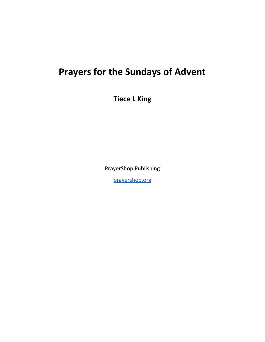# **Prayers for the Sundays of Advent**

**Tiece L King**

PrayerShop Publishing

[prayershop.org](https://prayershop.org/)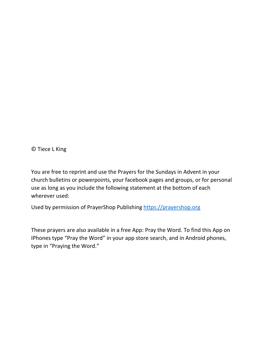© Tiece L King

You are free to reprint and use the Prayers for the Sundays in Advent in your church bulletins or powerpoints, your facebook pages and groups, or for personal use as long as you include the following statement at the bottom of each wherever used:

Used by permission of PrayerShop Publishing [https://prayershop.org](https://prayershop.org/)

These prayers are also available in a free App: Pray the Word. To find this App on IPhones type "Pray the Word" in your app store search, and in Android phones, type in "Praying the Word."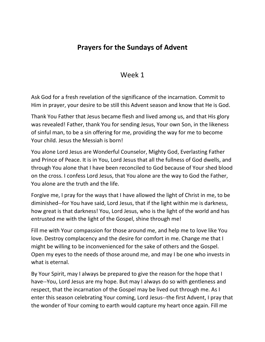### **Prayers for the Sundays of Advent**

#### Week 1

Ask God for a fresh revelation of the significance of the incarnation. Commit to Him in prayer, your desire to be still this Advent season and know that He is God.

Thank You Father that Jesus became flesh and lived among us, and that His glory was revealed! Father, thank You for sending Jesus, Your own Son, in the likeness of sinful man, to be a sin offering for me, providing the way for me to become Your child. Jesus the Messiah is born!

You alone Lord Jesus are Wonderful Counselor, Mighty God, Everlasting Father and Prince of Peace. It is in You, Lord Jesus that all the fullness of God dwells, and through You alone that I have been reconciled to God because of Your shed blood on the cross. I confess Lord Jesus, that You alone are the way to God the Father, You alone are the truth and the life.

Forgive me, I pray for the ways that I have allowed the light of Christ in me, to be diminished--for You have said, Lord Jesus, that if the light within me is darkness, how great is that darkness! You, Lord Jesus, who is the light of the world and has entrusted me with the light of the Gospel, shine through me!

Fill me with Your compassion for those around me, and help me to love like You love. Destroy complacency and the desire for comfort in me. Change me that I might be willing to be inconvenienced for the sake of others and the Gospel. Open my eyes to the needs of those around me, and may I be one who invests in what is eternal.

By Your Spirit, may I always be prepared to give the reason for the hope that I have--You, Lord Jesus are my hope. But may I always do so with gentleness and respect, that the incarnation of the Gospel may be lived out through me. As I enter this season celebrating Your coming, Lord Jesus--the first Advent, I pray that the wonder of Your coming to earth would capture my heart once again. Fill me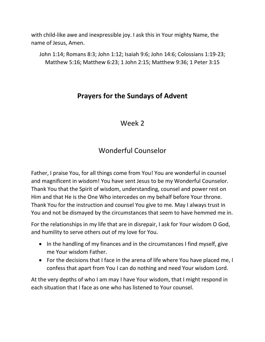with child-like awe and inexpressible joy. I ask this in Your mighty Name, the name of Jesus, Amen.

John 1:14; Romans 8:3; John 1:12; Isaiah 9:6; John 14:6; Colossians 1:19-23; Matthew 5:16; Matthew 6:23; 1 John 2:15; Matthew 9:36; 1 Peter 3:15

#### **Prayers for the Sundays of Advent**

#### Week 2

#### Wonderful Counselor

Father, I praise You, for all things come from You! You are wonderful in counsel and magnificent in wisdom! You have sent Jesus to be my Wonderful Counselor. Thank You that the Spirit of wisdom, understanding, counsel and power rest on Him and that He is the One Who intercedes on my behalf before Your throne. Thank You for the instruction and counsel You give to me. May I always trust in You and not be dismayed by the circumstances that seem to have hemmed me in.

For the relationships in my life that are in disrepair, I ask for Your wisdom O God, and humility to serve others out of my love for You.

- In the handling of my finances and in the circumstances I find myself, give me Your wisdom Father.
- For the decisions that I face in the arena of life where You have placed me, I confess that apart from You I can do nothing and need Your wisdom Lord.

At the very depths of who I am may I have Your wisdom, that I might respond in each situation that I face as one who has listened to Your counsel.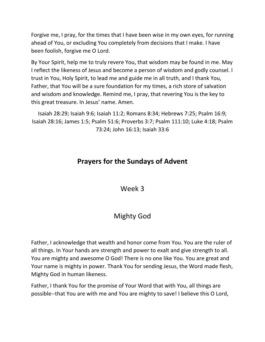Forgive me, I pray, for the times that I have been wise in my own eyes, for running ahead of You, or excluding You completely from decisions that I make. I have been foolish, forgive me O Lord.

By Your Spirit, help me to truly revere You, that wisdom may be found in me. May I reflect the likeness of Jesus and become a person of wisdom and godly counsel. I trust in You, Holy Spirit, to lead me and guide me in all truth, and I thank You, Father, that You will be a sure foundation for my times, a rich store of salvation and wisdom and knowledge. Remind me, I pray, that revering You is the key to this great treasure. In Jesus' name. Amen.

Isaiah 28:29; Isaiah 9:6; Isaiah 11:2; Romans 8:34; Hebrews 7:25; Psalm 16:9; Isaiah 28:16; James 1:5; Psalm 51:6; Proverbs 3:7; Psalm 111:10; Luke 4:18; Psalm 73:24; John 16:13; Isaiah 33:6

### **Prayers for the Sundays of Advent**

Week 3

## Mighty God

Father, I acknowledge that wealth and honor come from You. You are the ruler of all things. In Your hands are strength and power to exalt and give strength to all. You are mighty and awesome O God! There is no one like You. You are great and Your name is mighty in power. Thank You for sending Jesus, the Word made flesh, Mighty God in human likeness.

Father, I thank You for the promise of Your Word that with You, all things are possible--that You are with me and You are mighty to save! I believe this O Lord,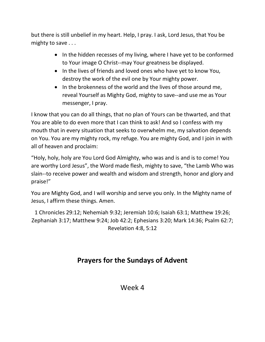but there is still unbelief in my heart. Help, I pray. I ask, Lord Jesus, that You be mighty to save . . .

- In the hidden recesses of my living, where I have yet to be conformed to Your image O Christ--may Your greatness be displayed.
- In the lives of friends and loved ones who have yet to know You, destroy the work of the evil one by Your mighty power.
- In the brokenness of the world and the lives of those around me, reveal Yourself as Mighty God, mighty to save--and use me as Your messenger, I pray.

I know that you can do all things, that no plan of Yours can be thwarted, and that You are able to do even more that I can think to ask! And so I confess with my mouth that in every situation that seeks to overwhelm me, my salvation depends on You. You are my mighty rock, my refuge. You are mighty God, and I join in with all of heaven and proclaim:

"Holy, holy, holy are You Lord God Almighty, who was and is and is to come! You are worthy Lord Jesus", the Word made flesh, mighty to save, "the Lamb Who was slain--to receive power and wealth and wisdom and strength, honor and glory and praise!"

You are Mighty God, and I will worship and serve you only. In the Mighty name of Jesus, I affirm these things. Amen.

1 Chronicles 29:12; Nehemiah 9:32; Jeremiah 10:6; Isaiah 63:1; Matthew 19:26; Zephaniah 3:17; Matthew 9:24; Job 42:2; Ephesians 3:20; Mark 14:36; Psalm 62:7; Revelation 4:8, 5:12

# **Prayers for the Sundays of Advent**

#### Week 4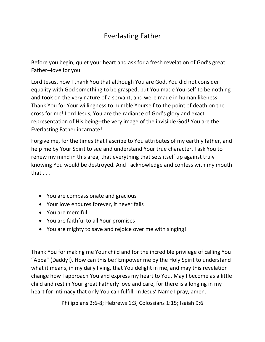### Everlasting Father

Before you begin, quiet your heart and ask for a fresh revelation of God's great Father--love for you.

Lord Jesus, how I thank You that although You are God, You did not consider equality with God something to be grasped, but You made Yourself to be nothing and took on the very nature of a servant, and were made in human likeness. Thank You for Your willingness to humble Yourself to the point of death on the cross for me! Lord Jesus, You are the radiance of God's glory and exact representation of His being--the very image of the invisible God! You are the Everlasting Father incarnate!

Forgive me, for the times that I ascribe to You attributes of my earthly father, and help me by Your Spirit to see and understand Your true character. I ask You to renew my mind in this area, that everything that sets itself up against truly knowing You would be destroyed. And I acknowledge and confess with my mouth that . . .

- You are compassionate and gracious
- Your love endures forever, it never fails
- You are merciful
- You are faithful to all Your promises
- You are mighty to save and rejoice over me with singing!

Thank You for making me Your child and for the incredible privilege of calling You "Abba" (Daddy!). How can this be? Empower me by the Holy Spirit to understand what it means, in my daily living, that You delight in me, and may this revelation change how I approach You and express my heart to You. May I become as a little child and rest in Your great Fatherly love and care, for there is a longing in my heart for intimacy that only You can fulfill. In Jesus' Name I pray, amen.

Philippians 2:6-8; Hebrews 1:3; Colossians 1:15; Isaiah 9:6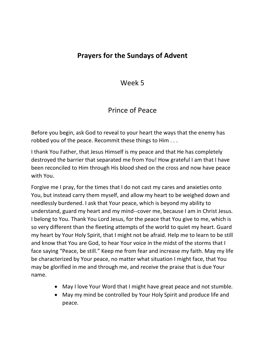#### **Prayers for the Sundays of Advent**

Week 5

#### Prince of Peace

Before you begin, ask God to reveal to your heart the ways that the enemy has robbed you of the peace. Recommit these things to Him . . .

I thank You Father, that Jesus Himself is my peace and that He has completely destroyed the barrier that separated me from You! How grateful I am that I have been reconciled to Him through His blood shed on the cross and now have peace with You.

Forgive me I pray, for the times that I do not cast my cares and anxieties onto You, but instead carry them myself, and allow my heart to be weighed down and needlessly burdened. I ask that Your peace, which is beyond my ability to understand, guard my heart and my mind--cover me, because I am in Christ Jesus. I belong to You. Thank You Lord Jesus, for the peace that You give to me, which is so very different than the fleeting attempts of the world to quiet my heart. Guard my heart by Your Holy Spirit, that I might not be afraid. Help me to learn to be still and know that You are God, to hear Your voice in the midst of the storms that I face saying "Peace, be still." Keep me from fear and increase my faith. May my life be characterized by Your peace, no matter what situation I might face, that You may be glorified in me and through me, and receive the praise that is due Your name.

- May I love Your Word that I might have great peace and not stumble.
- May my mind be controlled by Your Holy Spirit and produce life and peace.